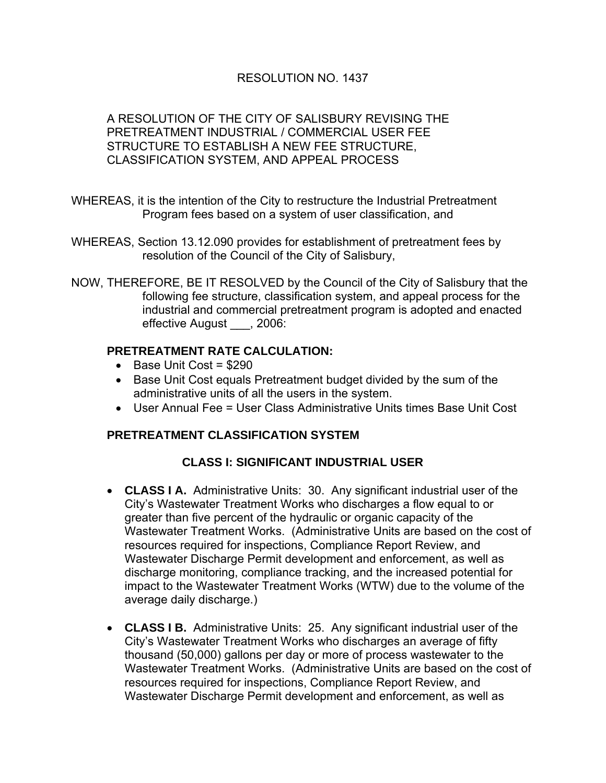### RESOLUTION NO. 1437

#### A RESOLUTION OF THE CITY OF SALISBURY REVISING THE PRETREATMENT INDUSTRIAL / COMMERCIAL USER FEE STRUCTURE TO ESTABLISH A NEW FEE STRUCTURE, CLASSIFICATION SYSTEM, AND APPEAL PROCESS

- WHEREAS, it is the intention of the City to restructure the Industrial Pretreatment Program fees based on a system of user classification, and
- WHEREAS, Section 13.12.090 provides for establishment of pretreatment fees by resolution of the Council of the City of Salisbury,
- NOW, THEREFORE, BE IT RESOLVED by the Council of the City of Salisbury that the following fee structure, classification system, and appeal process for the industrial and commercial pretreatment program is adopted and enacted effective August , 2006:

#### **PRETREATMENT RATE CALCULATION:**

- Base Unit Cost = \$290
- Base Unit Cost equals Pretreatment budget divided by the sum of the administrative units of all the users in the system.
- User Annual Fee = User Class Administrative Units times Base Unit Cost

#### **PRETREATMENT CLASSIFICATION SYSTEM**

## **CLASS I: SIGNIFICANT INDUSTRIAL USER**

- **CLASS I A.** Administrative Units: 30. Any significant industrial user of the City's Wastewater Treatment Works who discharges a flow equal to or greater than five percent of the hydraulic or organic capacity of the Wastewater Treatment Works. (Administrative Units are based on the cost of resources required for inspections, Compliance Report Review, and Wastewater Discharge Permit development and enforcement, as well as discharge monitoring, compliance tracking, and the increased potential for impact to the Wastewater Treatment Works (WTW) due to the volume of the average daily discharge.)
- **CLASS I B.** Administrative Units: 25. Any significant industrial user of the City's Wastewater Treatment Works who discharges an average of fifty thousand (50,000) gallons per day or more of process wastewater to the Wastewater Treatment Works. (Administrative Units are based on the cost of resources required for inspections, Compliance Report Review, and Wastewater Discharge Permit development and enforcement, as well as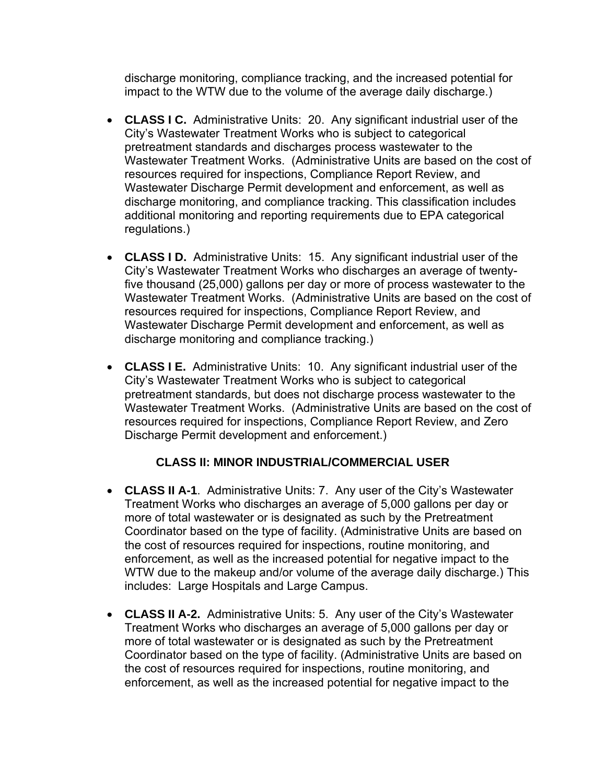discharge monitoring, compliance tracking, and the increased potential for impact to the WTW due to the volume of the average daily discharge.)

- **CLASS I C.** Administrative Units: 20. Any significant industrial user of the City's Wastewater Treatment Works who is subject to categorical pretreatment standards and discharges process wastewater to the Wastewater Treatment Works. (Administrative Units are based on the cost of resources required for inspections, Compliance Report Review, and Wastewater Discharge Permit development and enforcement, as well as discharge monitoring, and compliance tracking. This classification includes additional monitoring and reporting requirements due to EPA categorical regulations.)
- **CLASS I D.** Administrative Units: 15. Any significant industrial user of the City's Wastewater Treatment Works who discharges an average of twentyfive thousand (25,000) gallons per day or more of process wastewater to the Wastewater Treatment Works. (Administrative Units are based on the cost of resources required for inspections, Compliance Report Review, and Wastewater Discharge Permit development and enforcement, as well as discharge monitoring and compliance tracking.)
- **CLASS I E.** Administrative Units: 10. Any significant industrial user of the City's Wastewater Treatment Works who is subject to categorical pretreatment standards, but does not discharge process wastewater to the Wastewater Treatment Works. (Administrative Units are based on the cost of resources required for inspections, Compliance Report Review, and Zero Discharge Permit development and enforcement.)

# **CLASS II: MINOR INDUSTRIAL/COMMERCIAL USER**

- **CLASS II A-1**. Administrative Units: 7. Any user of the City's Wastewater Treatment Works who discharges an average of 5,000 gallons per day or more of total wastewater or is designated as such by the Pretreatment Coordinator based on the type of facility. (Administrative Units are based on the cost of resources required for inspections, routine monitoring, and enforcement, as well as the increased potential for negative impact to the WTW due to the makeup and/or volume of the average daily discharge.) This includes: Large Hospitals and Large Campus.
- **CLASS II A-2.** Administrative Units: 5. Any user of the City's Wastewater Treatment Works who discharges an average of 5,000 gallons per day or more of total wastewater or is designated as such by the Pretreatment Coordinator based on the type of facility. (Administrative Units are based on the cost of resources required for inspections, routine monitoring, and enforcement, as well as the increased potential for negative impact to the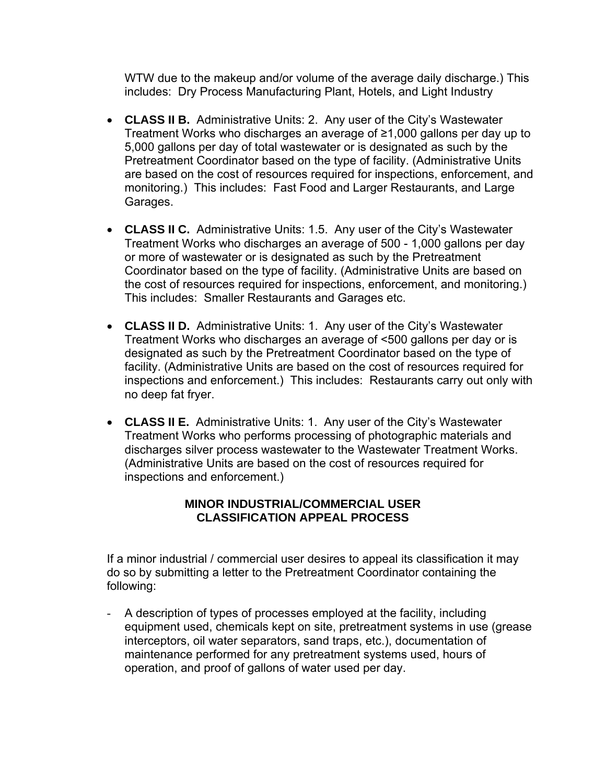WTW due to the makeup and/or volume of the average daily discharge.) This includes: Dry Process Manufacturing Plant, Hotels, and Light Industry

- **CLASS II B.** Administrative Units: 2. Any user of the City's Wastewater Treatment Works who discharges an average of ≥1,000 gallons per day up to 5,000 gallons per day of total wastewater or is designated as such by the Pretreatment Coordinator based on the type of facility. (Administrative Units are based on the cost of resources required for inspections, enforcement, and monitoring.) This includes: Fast Food and Larger Restaurants, and Large Garages.
- **CLASS II C.** Administrative Units: 1.5. Any user of the City's Wastewater Treatment Works who discharges an average of 500 - 1,000 gallons per day or more of wastewater or is designated as such by the Pretreatment Coordinator based on the type of facility. (Administrative Units are based on the cost of resources required for inspections, enforcement, and monitoring.) This includes: Smaller Restaurants and Garages etc.
- **CLASS II D.** Administrative Units: 1. Any user of the City's Wastewater Treatment Works who discharges an average of <500 gallons per day or is designated as such by the Pretreatment Coordinator based on the type of facility. (Administrative Units are based on the cost of resources required for inspections and enforcement.) This includes: Restaurants carry out only with no deep fat fryer.
- **CLASS II E.** Administrative Units: 1. Any user of the City's Wastewater Treatment Works who performs processing of photographic materials and discharges silver process wastewater to the Wastewater Treatment Works. (Administrative Units are based on the cost of resources required for inspections and enforcement.)

#### **MINOR INDUSTRIAL/COMMERCIAL USER CLASSIFICATION APPEAL PROCESS**

If a minor industrial / commercial user desires to appeal its classification it may do so by submitting a letter to the Pretreatment Coordinator containing the following:

- A description of types of processes employed at the facility, including equipment used, chemicals kept on site, pretreatment systems in use (grease interceptors, oil water separators, sand traps, etc.), documentation of maintenance performed for any pretreatment systems used, hours of operation, and proof of gallons of water used per day.